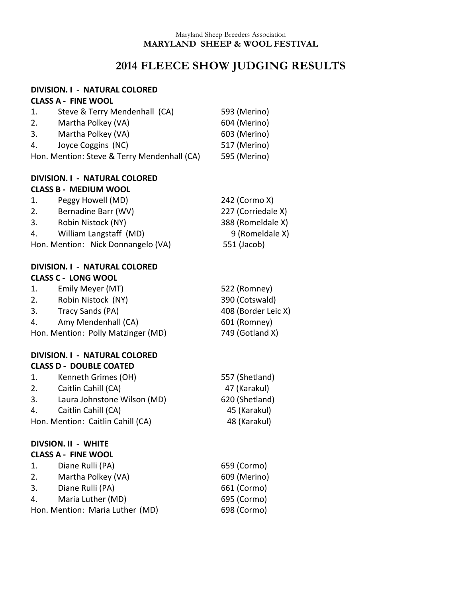#### Maryland Sheep Breeders Association **MARYLAND SHEEP & WOOL FESTIVAL**

# **2014 FLEECE SHOW JUDGING RESULTS**

### **DIVISION. I - NATURAL COLORED CLASS A - FINE WOOL**

| 1. | Steve & Terry Mendenhall (CA)               | 593 (Merino) |
|----|---------------------------------------------|--------------|
| 2. | Martha Polkey (VA)                          | 604 (Merino) |
| 3. | Martha Polkey (VA)                          | 603 (Merino) |
| 4. | Joyce Coggins (NC)                          | 517 (Merino) |
|    | Hon. Mention: Steve & Terry Mendenhall (CA) | 595 (Merino) |

## **DIVISION. I - NATURAL COLORED CLASS B - MEDIUM WOOL**

| 1. | Peggy Howell (MD)                  | 242 (Cormo X)      |
|----|------------------------------------|--------------------|
| 2. | Bernadine Barr (WV)                | 227 (Corriedale X) |
| 3. | Robin Nistock (NY)                 | 388 (Romeldale X)  |
| 4. | William Langstaff (MD)             | 9 (Romeldale X)    |
|    | Hon. Mention: Nick Donnangelo (VA) | 551 (Jacob)        |

## **DIVISION. I - NATURAL COLORED CLASS C - LONG WOOL**

| $\mathbf{1}$ .                                        | Emily Meyer (MT)    | 522 (Romney)        |
|-------------------------------------------------------|---------------------|---------------------|
| 2.                                                    | Robin Nistock (NY)  | 390 (Cotswald)      |
| 3.                                                    | Tracy Sands (PA)    | 408 (Border Leic X) |
| 4.                                                    | Amy Mendenhall (CA) | 601 (Romney)        |
| 749 (Gotland X)<br>Hon. Mention: Polly Matzinger (MD) |                     |                     |

### **DIVISION. I - NATURAL COLORED CLASS D - DOUBLE COATED**

| 1. | Kenneth Grimes (OH)               | 557 (Shetland) |
|----|-----------------------------------|----------------|
| 2. | Caitlin Cahill (CA)               | 47 (Karakul)   |
| 3. | Laura Johnstone Wilson (MD)       | 620 (Shetland) |
| 4. | Caitlin Cahill (CA)               | 45 (Karakul)   |
|    | Hon. Mention: Caitlin Cahill (CA) | 48 (Karakul)   |

#### **DIVSION. II - WHITE CLASS A - FINE WOOL**

| 1. | Diane Rulli (PA)                | 659 (Cormo)  |
|----|---------------------------------|--------------|
| 2. | Martha Polkey (VA)              | 609 (Merino) |
| 3. | Diane Rulli (PA)                | 661 (Cormo)  |
| 4. | Maria Luther (MD)               | 695 (Cormo)  |
|    | Hon. Mention: Maria Luther (MD) | 698 (Cormo)  |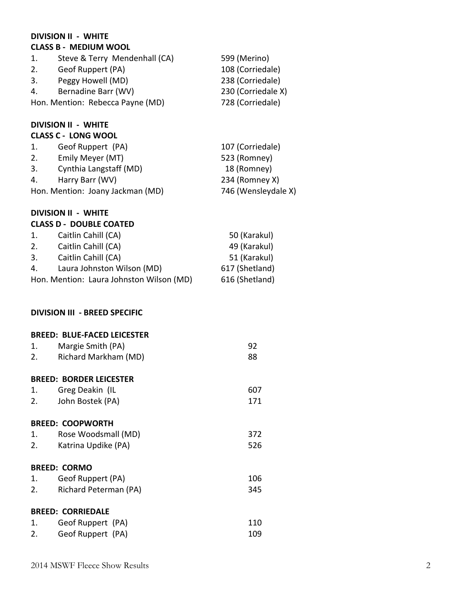## **DIVISION II - WHITE CLASS B - MEDIUM WOOL** 1. Steve & Terry Mendenhall (CA) 599 (Merino) 2. Geof Ruppert (PA) 108 (Corriedale) 3. Peggy Howell (MD) 238 (Corriedale) 4. Bernadine Barr (WV) 230 (Corriedale X) Hon. Mention: Rebecca Payne (MD) 728 (Corriedale) **DIVISION II - WHITE CLASS C - LONG WOOL** 1. Geof Ruppert (PA) 107 (Corriedale) 2. Emily Meyer (MT) 523 (Romney) 3. Cynthia Langstaff (MD) 18 (Romney) 4. Harry Barr (WV) 234 (Romney X) Hon. Mention: Joany Jackman (MD) 746 (Wensleydale X) **DIVISION II - WHITE CLASS D - DOUBLE COATED** 1. Caitlin Cahill (CA) 50 (Karakul) 2. Caitlin Cahill (CA) 49 (Karakul) 3. Caitlin Cahill (CA) 51 (Karakul) 4. Laura Johnston Wilson (MD) 617 (Shetland) Hon. Mention: Laura Johnston Wilson (MD) 616 (Shetland) **DIVISION III - BREED SPECIFIC BREED: BLUE-FACED LEICESTER** 1. Margie Smith (PA) 92 2. Richard Markham (MD) 88 **BREED: BORDER LEICESTER** 1. Greg Deakin (IL 607 2. John Bostek (PA) 171 **BREED: COOPWORTH** 1. Rose Woodsmall (MD) 372 2. Katrina Updike (PA) 526 **BREED: CORMO** 1. Geof Ruppert (PA) 106 2. Richard Peterman (PA) 345 **BREED: CORRIEDALE** 1. Geof Ruppert (PA) 110 2. Geof Ruppert (PA) 109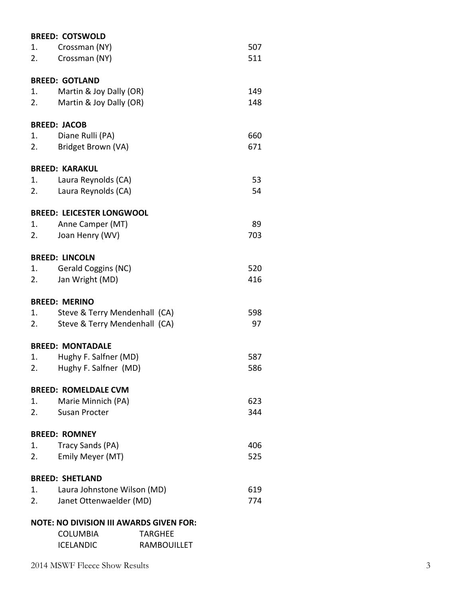|    | <b>BREED: COTSWOLD</b>                         |                    |     |
|----|------------------------------------------------|--------------------|-----|
| 1. | Crossman (NY)                                  |                    | 507 |
| 2. | Crossman (NY)                                  |                    | 511 |
|    | <b>BREED: GOTLAND</b>                          |                    |     |
| 1. | Martin & Joy Dally (OR)                        |                    | 149 |
| 2. | Martin & Joy Dally (OR)                        |                    | 148 |
|    | <b>BREED: JACOB</b>                            |                    |     |
| 1. | Diane Rulli (PA)                               |                    | 660 |
| 2. | Bridget Brown (VA)                             |                    | 671 |
|    | <b>BREED: KARAKUL</b>                          |                    |     |
| 1. | Laura Reynolds (CA)                            |                    | 53  |
| 2. | Laura Reynolds (CA)                            |                    | 54  |
|    | <b>BREED: LEICESTER LONGWOOL</b>               |                    |     |
| 1. | Anne Camper (MT)                               |                    | 89  |
| 2. | Joan Henry (WV)                                |                    | 703 |
|    | <b>BREED: LINCOLN</b>                          |                    |     |
| 1. | Gerald Coggins (NC)                            |                    | 520 |
| 2. | Jan Wright (MD)                                |                    | 416 |
|    | <b>BREED: MERINO</b>                           |                    |     |
| 1. | Steve & Terry Mendenhall (CA)                  |                    | 598 |
| 2. | Steve & Terry Mendenhall (CA)                  |                    | 97  |
|    | <b>BREED: MONTADALE</b>                        |                    |     |
| 1. | Hughy F. Salfner (MD)                          |                    | 587 |
| 2. | Hughy F. Salfner (MD)                          |                    | 586 |
|    | <b>BREED: ROMELDALE CVM</b>                    |                    |     |
| 1. | Marie Minnich (PA)                             |                    | 623 |
| 2. | Susan Procter                                  |                    | 344 |
|    | <b>BREED: ROMNEY</b>                           |                    |     |
| 1. | Tracy Sands (PA)                               |                    | 406 |
| 2. | Emily Meyer (MT)                               |                    | 525 |
|    | <b>BREED: SHETLAND</b>                         |                    |     |
| 1. | Laura Johnstone Wilson (MD)<br>619             |                    |     |
| 2. | Janet Ottenwaelder (MD)                        |                    | 774 |
|    | <b>NOTE: NO DIVISION III AWARDS GIVEN FOR:</b> |                    |     |
|    | COLUMBIA                                       | <b>TARGHEE</b>     |     |
|    | ICELANDIC                                      | <b>RAMBOUILLET</b> |     |